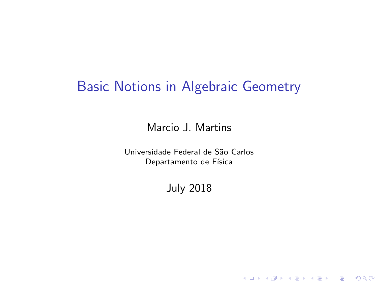### Basic Notions in Algebraic Geometry

Marcio J. Martins

<span id="page-0-0"></span>Universidade Federal de São Carlos Departamento de Física

July 2018

KO KKOK KEK KEK LE I KORO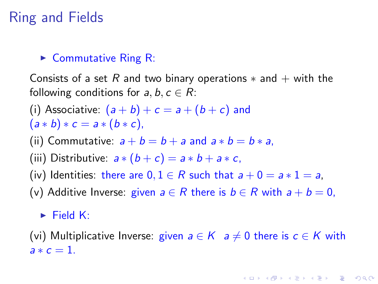## Ring and Fields

#### $\triangleright$  Commutative Ring R:

Consists of a set R and two binary operations  $*$  and  $+$  with the following conditions for  $a, b, c \in R$ :

(i) Associative: 
$$
(a + b) + c = a + (b + c)
$$
 and  
 $(a * b) * c = a * (b * c)$ ,

(ii) Commutative:  $a + b = b + a$  and  $a * b = b * a$ ,

(iii) Distributive:  $a * (b + c) = a * b + a * c$ ,

(iv) Identities: there are  $0, 1 \in R$  such that  $a + 0 = a * 1 = a$ .

(v) Additive Inverse: given  $a \in R$  there is  $b \in R$  with  $a + b = 0$ ,

#### $\blacktriangleright$  Field K:

(vi) Multiplicative Inverse: given  $a \in K$   $a \neq 0$  there is  $c \in K$  with  $a * c = 1$ .

**KORK ERKER ADE YOUR**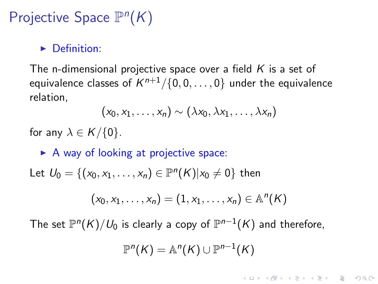# Projective Space  $\mathbb{P}^{n}(K)$

#### $\blacktriangleright$  Definition:

The n-dimensional projective space over a field  $K$  is a set of equivalence classes of  $\mathcal{K}^{n+1}/\{0,0,\ldots,0\}$  under the equivalence relation,

$$
(x_0, x_1, \ldots, x_n) \sim (\lambda x_0, \lambda x_1, \ldots, \lambda x_n)
$$

for any  $\lambda \in K/\{0\}$ .

 $\triangleright$  A way of looking at projective space:

Let  $U_0 = \{(x_0, x_1, \ldots, x_n) \in \mathbb{P}^n(K) | x_0 \neq 0\}$  then

$$
(x_0,x_1,\ldots,x_n)=(1,x_1,\ldots,x_n)\in \mathbb{A}^n(K)
$$

The set  $\mathbb P^n(K)/U_0$  is clearly a copy of  $\mathbb P^{n-1}(K)$  and therefore,

$$
\mathbb{P}^n(K)=\mathbb{A}^n(K)\cup\mathbb{P}^{n-1}(K)
$$

**KORKAR KERKER EL VOLO**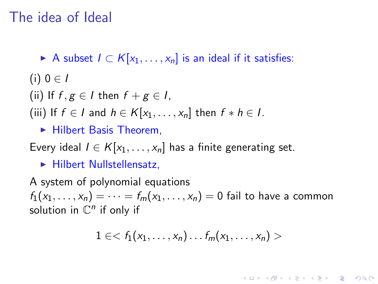### The idea of Ideal

- A subset  $I \subset K[x_1, \ldots, x_n]$  is an ideal if it satisfies:
- (i)  $0 \in I$
- (ii) If  $f, g \in I$  then  $f + g \in I$ .
- (iii) If  $f \in I$  and  $h \in K[x_1, \ldots, x_n]$  then  $f * h \in I$ .
	- $\blacktriangleright$  Hilbert Basis Theorem,

Every ideal  $I \in K[x_1, \ldots, x_n]$  has a finite generating set.

 $\blacktriangleright$  Hilbert Nullstellensatz.

A system of polynomial equations  $f_1(x_1,\ldots,x_n)=\cdots=f_m(x_1,\ldots,x_n)=0$  fail to have a common solution in  $\mathbb{C}^n$  if only if

$$
1 \in
$$

**KORKAR KERKER EL VOLO**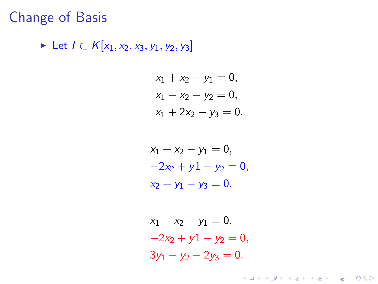#### Change of Basis

► Let  $I \subset K[x_1, x_2, x_3, y_1, y_2, y_3]$ 

$$
x_1 + x_2 - y_1 = 0,
$$
  
\n
$$
x_1 - x_2 - y_2 = 0,
$$
  
\n
$$
x_1 + 2x_2 - y_3 = 0.
$$

 $x_1 + x_2 - y_1 = 0$ ,  $-2x_2 + y1 - y_2 = 0$ ,  $x_2 + y_1 - y_3 = 0.$ 

$$
x_1 + x_2 - y_1 = 0,
$$
  
-2x<sub>2</sub> + y1 - y<sub>2</sub> = 0,  
3y<sub>1</sub> - y<sub>2</sub> - 2y<sub>3</sub> = 0.

K ロ ▶ K @ ▶ K 할 ▶ K 할 ▶ ... 할 → 9 Q @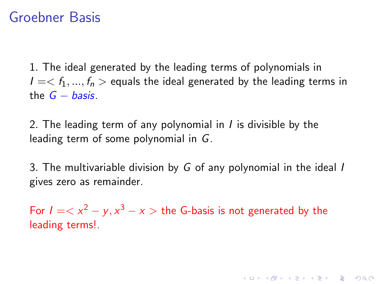### Groebner Basis

1. The ideal generated by the leading terms of polynomials in  $I = \langle f_1, ..., f_n \rangle$  equals the ideal generated by the leading terms in the  $G - basis$ .

2. The leading term of any polynomial in I is divisible by the leading term of some polynomial in G.

3. The multivariable division by G of any polynomial in the ideal I gives zero as remainder.

For  $I =$  the G-basis is not generated by the leading terms!.

**KORKAR KERKER EL VOLO**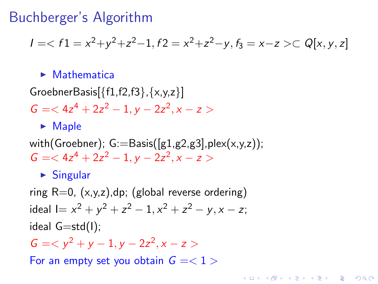#### Buchberger's Algorithm

$$
I =  \subset Q[x, y, z]
$$

**KORK ERKER ADE YOUR** 

#### $\blacktriangleright$  Mathematica

GroebnerBasis $\{\{f1,f2,f3\},\{x,y,z\}\}\$  $G = <4z<sup>4</sup>+2z<sup>2</sup>-1, y-2z<sup>2</sup>, x-z>$ 

 $\blacktriangleright$  Maple

with(Groebner);  $G = Basis([g1,g2,g3], \text{plex}(x,y,z));$  $G = <4z<sup>4</sup>+2z<sup>2</sup>-1, y-2z<sup>2</sup>, x-z>$ 

 $\blacktriangleright$  Singular

ring  $R=0$ ,  $(x,y,z)$ , dp; (global reverse ordering) ideal l=  $x^2 + y^2 + z^2 - 1$ ,  $x^2 + z^2 - y$ ,  $x - z$ ; ideal  $G=std(I)$ ;  $G =$ For an empty set you obtain  $G = < 1 >$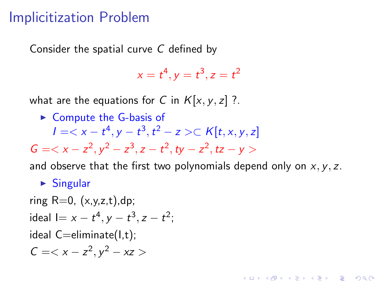#### Implicitization Problem

Consider the spatial curve C defined by

 $x = t^4, y = t^3, z = t^2$ 

what are the equations for C in  $K[x, y, z]$  ?.

 $\triangleright$  Compute the G-basis of  $I = < x - t^4, y - t^3, t^2 − z > \subset K[t, x, y, z]$  $G =$ 

and observe that the first two polynomials depend only on  $x, y, z$ .

**KORK ERKER ADE YOUR** 

 $\triangleright$  Singular

<span id="page-7-0"></span>ring  $R=0$ ,  $(x,y,z,t)$ , dp; ideal l=  $x - t^4$ ,  $y - t^3$ ,  $z - t^2$ ; ideal  $C=$ eliminate $(l,t)$ ;  $C =$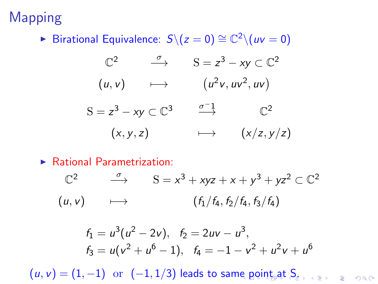Mapping

► Birational Equivalence:  $S \setminus (z = 0) \cong \mathbb{C}^2 \setminus (uv = 0)$ 

| $\mathbb{C}^2$                      | $\stackrel{\circ}{\longrightarrow}$ | $S = z^3 - xy \subset \mathbb{C}^2$ |                                          |
|-------------------------------------|-------------------------------------|-------------------------------------|------------------------------------------|
| (u, v)                              | $\quad \longmapsto \quad$           | $(u^2v, uv^2, uv)$                  |                                          |
| $S = z^3 - xy \subset \mathbb{C}^3$ |                                     |                                     | $\overrightarrow{c^{-1}}$ $\mathbb{C}^2$ |
| (x, y, z)                           |                                     | $\longmapsto$                       | (x/z, y/z)                               |

 $\blacktriangleright$  Rational Parametrization:

$$
\mathbb{C}^2 \qquad \xrightarrow{\sigma} \qquad S = x^3 + xyz + x + y^3 + yz^2 \subset \mathbb{C}^2
$$
  
(*u*, *v*) 
$$
\qquad \longmapsto \qquad (f_1/f_4, f_2/f_4, f_3/f_4)
$$

$$
f_1 = u^3(u^2 - 2v), \quad f_2 = 2uv - u^3,
$$
  

$$
f_3 = u(v^2 + u^6 - 1), \quad f_4 = -1 - v^2 + u^2v + u^6
$$

<span id="page-8-0"></span> $(u, v) = (1, -1)$  or  $(-1, 1/3)$  leads to sam[e p](#page-7-0)[oi](#page-9-0)[n](#page-7-0)[t](#page-8-0) [at](#page-9-0)  $S_{\frac{1}{2} + \sqrt{2}}$  and  $\infty$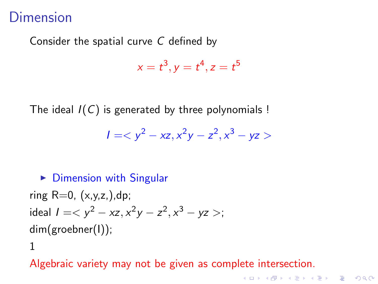#### Dimension

Consider the spatial curve C defined by

$$
x=t^3, y=t^4, z=t^5
$$

The ideal  $I(C)$  is generated by three polynomials !

$$
1 =
$$

## $\triangleright$  Dimension with Singular ring  $R=0$ ,  $(x,y,z)$ , dp; ideal  $I =$ ; dim(groebner(I)); 1

<span id="page-9-0"></span>Algebraic variety may not be given as complete intersection.

**KORK ERKER ADE YOUR**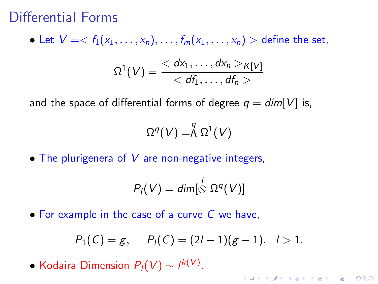#### Differential Forms

• Let  $V = \langle f_1(x_1, \ldots, x_n), \ldots, f_m(x_1, \ldots, x_n) \rangle$  define the set,

$$
\Omega^{1}(V)=\frac{< dx_1,\ldots,dx_n>_{K[V]}}{< df_1,\ldots,df_n>
$$

and the space of differential forms of degree  $q = dim[V]$  is,

$$
\Omega^q(V)=\stackrel{q}{\Lambda}\Omega^1(V)
$$

• The plurigenera of  $V$  are non-negative integers,

$$
P_I(V) = dim \big[ \stackrel{I}{\otimes} \Omega^q(V) \big]
$$

• For example in the case of a curve C we have,

$$
P_1(C) = g, \quad P_1(C) = (2l-1)(g-1), \quad l > 1.
$$

• Kodaira Dimension  $P_I(V) \sim I^{k(V)}$ .